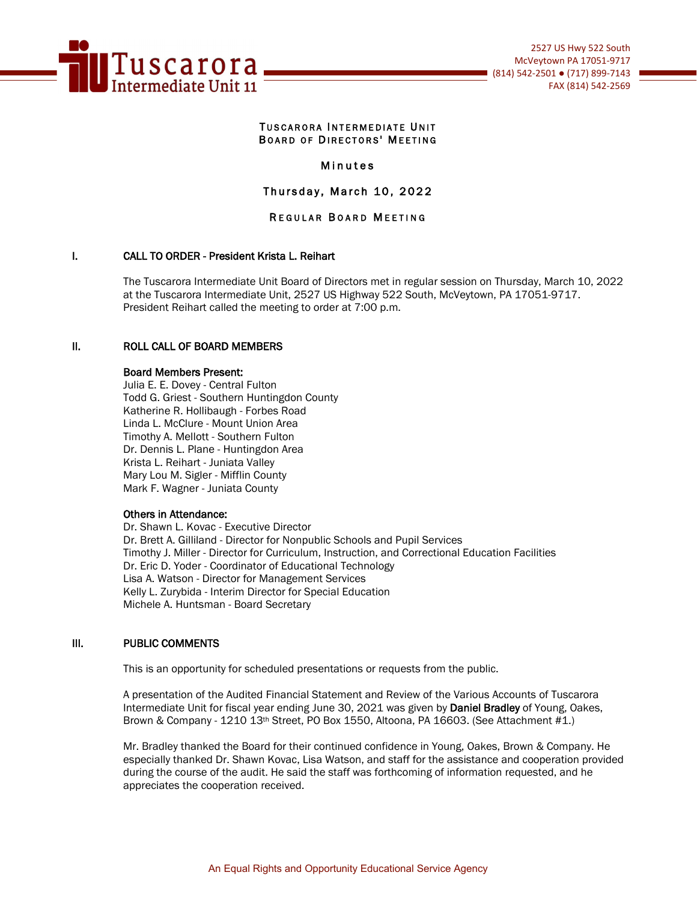

#### TUSCARORA INTERMEDIATE UNIT BOARD OF DIRECTORS' MEETING

# Minutes

Thursday, March 10, 2022

# REGULAR BOARD MEETING

# I. CALL TO ORDER - President Krista L. Reihart

The Tuscarora Intermediate Unit Board of Directors met in regular session on Thursday, March 10, 2022 at the Tuscarora Intermediate Unit, 2527 US Highway 522 South, McVeytown, PA 17051-9717. President Reihart called the meeting to order at 7:00 p.m.

#### II. ROLL CALL OF BOARD MEMBERS

# Board Members Present:

Julia E. E. Dovey - Central Fulton Todd G. Griest - Southern Huntingdon County Katherine R. Hollibaugh - Forbes Road Linda L. McClure - Mount Union Area Timothy A. Mellott - Southern Fulton Dr. Dennis L. Plane - Huntingdon Area Krista L. Reihart - Juniata Valley Mary Lou M. Sigler - Mifflin County Mark F. Wagner - Juniata County

#### Others in Attendance:

Dr. Shawn L. Kovac - Executive Director Dr. Brett A. Gilliland - Director for Nonpublic Schools and Pupil Services Timothy J. Miller - Director for Curriculum, Instruction, and Correctional Education Facilities Dr. Eric D. Yoder - Coordinator of Educational Technology Lisa A. Watson - Director for Management Services Kelly L. Zurybida - Interim Director for Special Education Michele A. Huntsman - Board Secretary

#### III. PUBLIC COMMENTS

This is an opportunity for scheduled presentations or requests from the public.

A presentation of the Audited Financial Statement and Review of the Various Accounts of Tuscarora Intermediate Unit for fiscal year ending June 30, 2021 was given by Daniel Bradley of Young, Oakes, Brown & Company - 1210 13th Street, PO Box 1550, Altoona, PA 16603. (See Attachment #1.)

Mr. Bradley thanked the Board for their continued confidence in Young, Oakes, Brown & Company. He especially thanked Dr. Shawn Kovac, Lisa Watson, and staff for the assistance and cooperation provided during the course of the audit. He said the staff was forthcoming of information requested, and he appreciates the cooperation received.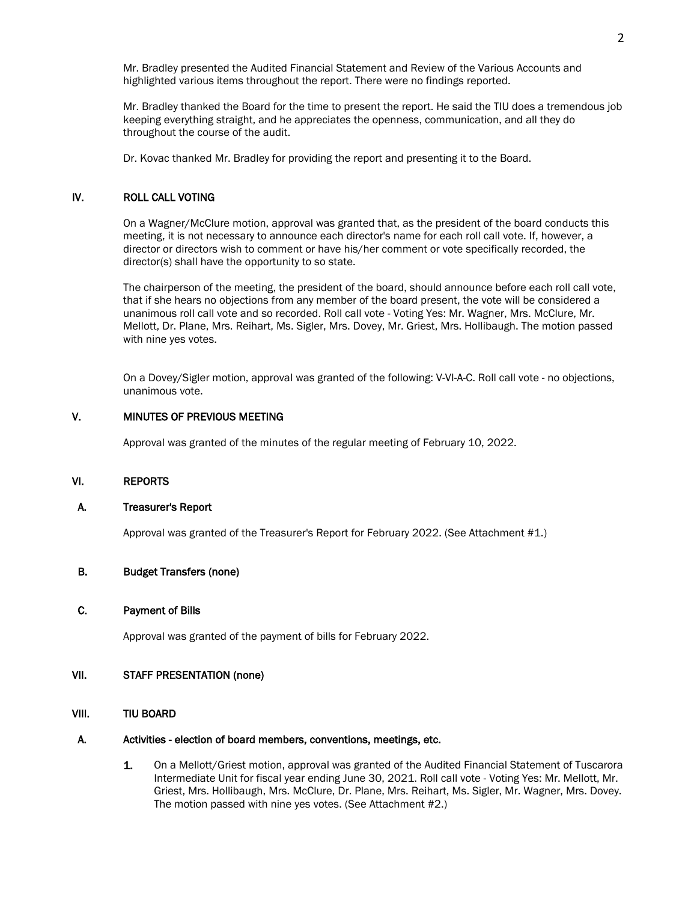Mr. Bradley presented the Audited Financial Statement and Review of the Various Accounts and highlighted various items throughout the report. There were no findings reported.

Mr. Bradley thanked the Board for the time to present the report. He said the TIU does a tremendous job keeping everything straight, and he appreciates the openness, communication, and all they do throughout the course of the audit.

Dr. Kovac thanked Mr. Bradley for providing the report and presenting it to the Board.

# IV. ROLL CALL VOTING

On a Wagner/McClure motion, approval was granted that, as the president of the board conducts this meeting, it is not necessary to announce each director's name for each roll call vote. If, however, a director or directors wish to comment or have his/her comment or vote specifically recorded, the director(s) shall have the opportunity to so state.

The chairperson of the meeting, the president of the board, should announce before each roll call vote, that if she hears no objections from any member of the board present, the vote will be considered a unanimous roll call vote and so recorded. Roll call vote - Voting Yes: Mr. Wagner, Mrs. McClure, Mr. Mellott, Dr. Plane, Mrs. Reihart, Ms. Sigler, Mrs. Dovey, Mr. Griest, Mrs. Hollibaugh. The motion passed with nine yes votes.

 On a Dovey/Sigler motion, approval was granted of the following: V-VI-A-C. Roll call vote - no objections, unanimous vote.

# V. MINUTES OF PREVIOUS MEETING

Approval was granted of the minutes of the regular meeting of February 10, 2022.

#### VI. REPORTS

#### A. Treasurer's Report

Approval was granted of the Treasurer's Report for February 2022. (See Attachment #1.)

#### B. Budget Transfers (none)

#### C. Payment of Bills

Approval was granted of the payment of bills for February 2022.

# VII. STAFF PRESENTATION (none)

#### VIII. TIU BOARD

#### A. Activities - election of board members, conventions, meetings, etc.

1. On a Mellott/Griest motion, approval was granted of the Audited Financial Statement of Tuscarora Intermediate Unit for fiscal year ending June 30, 2021. Roll call vote - Voting Yes: Mr. Mellott, Mr. Griest, Mrs. Hollibaugh, Mrs. McClure, Dr. Plane, Mrs. Reihart, Ms. Sigler, Mr. Wagner, Mrs. Dovey. The motion passed with nine yes votes. (See Attachment #2.)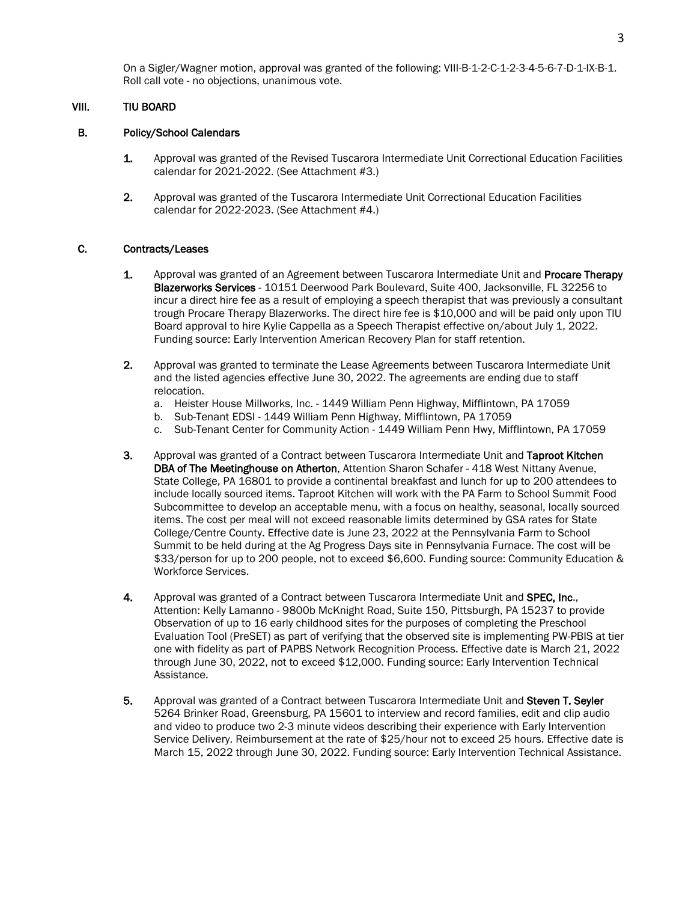On a Sigler/Wagner motion, approval was granted of the following: VIII-B-1-2-C-1-2-3-4-5-6-7-D-1-IX-B-1. Roll call vote - no objections, unanimous vote.

## VIII. TIU BOARD

#### B. Policy/School Calendars

- 1. Approval was granted of the Revised Tuscarora Intermediate Unit Correctional Education Facilities calendar for 2021-2022. (See Attachment #3.)
- 2. Approval was granted of the Tuscarora Intermediate Unit Correctional Education Facilities calendar for 2022-2023. (See Attachment #4.)

#### C. Contracts/Leases

- 1. Approval was granted of an Agreement between Tuscarora Intermediate Unit and Procare Therapy Blazerworks Services - 10151 Deerwood Park Boulevard, Suite 400, Jacksonville, FL 32256 to incur a direct hire fee as a result of employing a speech therapist that was previously a consultant trough Procare Therapy Blazerworks. The direct hire fee is \$10,000 and will be paid only upon TIU Board approval to hire Kylie Cappella as a Speech Therapist effective on/about July 1, 2022. Funding source: Early Intervention American Recovery Plan for staff retention.
- 2. Approval was granted to terminate the Lease Agreements between Tuscarora Intermediate Unit and the listed agencies effective June 30, 2022. The agreements are ending due to staff relocation.
	- a. Heister House Millworks, Inc. 1449 William Penn Highway, Mifflintown, PA 17059
	- b. Sub-Tenant EDSI 1449 William Penn Highway, Mifflintown, PA 17059
	- c. Sub-Tenant Center for Community Action 1449 William Penn Hwy, Mifflintown, PA 17059
- 3. Approval was granted of a Contract between Tuscarora Intermediate Unit and Taproot Kitchen DBA of The Meetinghouse on Atherton, Attention Sharon Schafer - 418 West Nittany Avenue, State College, PA 16801 to provide a continental breakfast and lunch for up to 200 attendees to include locally sourced items. Taproot Kitchen will work with the PA Farm to School Summit Food Subcommittee to develop an acceptable menu, with a focus on healthy, seasonal, locally sourced items. The cost per meal will not exceed reasonable limits determined by GSA rates for State College/Centre County. Effective date is June 23, 2022 at the Pennsylvania Farm to School Summit to be held during at the Ag Progress Days site in Pennsylvania Furnace. The cost will be \$33/person for up to 200 people, not to exceed \$6,600. Funding source: Community Education & Workforce Services.
- 4. Approval was granted of a Contract between Tuscarora Intermediate Unit and SPEC, Inc., Attention: Kelly Lamanno - 9800b McKnight Road, Suite 150, Pittsburgh, PA 15237 to provide Observation of up to 16 early childhood sites for the purposes of completing the Preschool Evaluation Tool (PreSET) as part of verifying that the observed site is implementing PW-PBIS at tier one with fidelity as part of PAPBS Network Recognition Process. Effective date is March 21, 2022 through June 30, 2022, not to exceed \$12,000. Funding source: Early Intervention Technical Assistance.
- 5. Approval was granted of a Contract between Tuscarora Intermediate Unit and Steven T. Seyler 5264 Brinker Road, Greensburg, PA 15601 to interview and record families, edit and clip audio and video to produce two 2-3 minute videos describing their experience with Early Intervention Service Delivery. Reimbursement at the rate of \$25/hour not to exceed 25 hours. Effective date is March 15, 2022 through June 30, 2022. Funding source: Early Intervention Technical Assistance.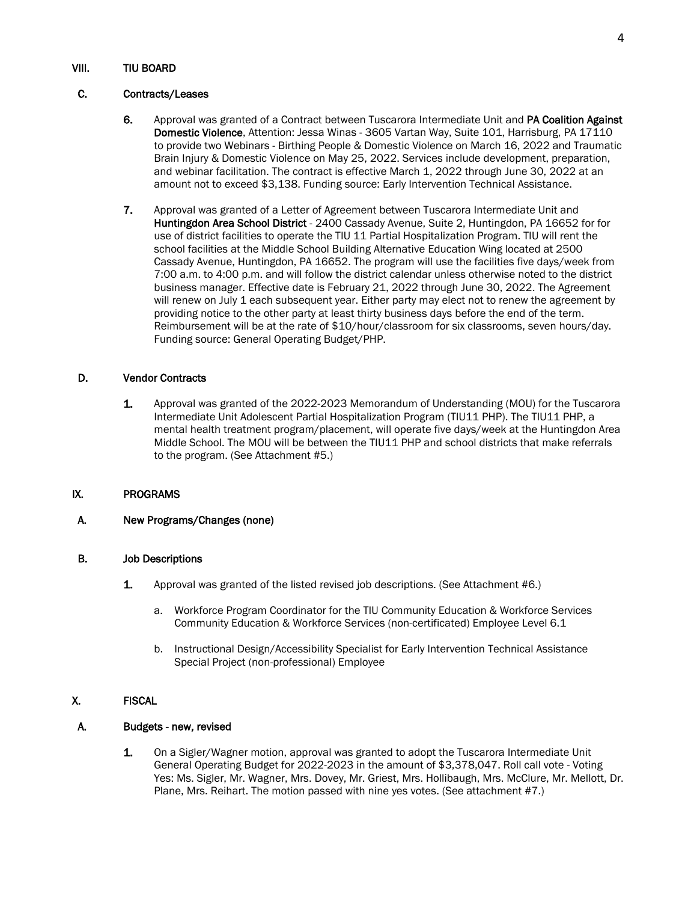# VIII. TIU BOARD

# C. Contracts/Leases

- 6. Approval was granted of a Contract between Tuscarora Intermediate Unit and PA Coalition Against Domestic Violence, Attention: Jessa Winas - 3605 Vartan Way, Suite 101, Harrisburg, PA 17110 to provide two Webinars - Birthing People & Domestic Violence on March 16, 2022 and Traumatic Brain Injury & Domestic Violence on May 25, 2022. Services include development, preparation, and webinar facilitation. The contract is effective March 1, 2022 through June 30, 2022 at an amount not to exceed \$3,138. Funding source: Early Intervention Technical Assistance.
- 7. Approval was granted of a Letter of Agreement between Tuscarora Intermediate Unit and Huntingdon Area School District - 2400 Cassady Avenue, Suite 2, Huntingdon, PA 16652 for for use of district facilities to operate the TIU 11 Partial Hospitalization Program. TIU will rent the school facilities at the Middle School Building Alternative Education Wing located at 2500 Cassady Avenue, Huntingdon, PA 16652. The program will use the facilities five days/week from 7:00 a.m. to 4:00 p.m. and will follow the district calendar unless otherwise noted to the district business manager. Effective date is February 21, 2022 through June 30, 2022. The Agreement will renew on July 1 each subsequent year. Either party may elect not to renew the agreement by providing notice to the other party at least thirty business days before the end of the term. Reimbursement will be at the rate of \$10/hour/classroom for six classrooms, seven hours/day. Funding source: General Operating Budget/PHP.

# D. Vendor Contracts

1. Approval was granted of the 2022-2023 Memorandum of Understanding (MOU) for the Tuscarora Intermediate Unit Adolescent Partial Hospitalization Program (TIU11 PHP). The TIU11 PHP, a mental health treatment program/placement, will operate five days/week at the Huntingdon Area Middle School. The MOU will be between the TIU11 PHP and school districts that make referrals to the program. (See Attachment #5.)

# IX. PROGRAMS

# A. New Programs/Changes (none)

#### B. Job Descriptions

- 1. Approval was granted of the listed revised job descriptions. (See Attachment #6.)
	- a. Workforce Program Coordinator for the TIU Community Education & Workforce Services Community Education & Workforce Services (non-certificated) Employee Level 6.1
	- b. Instructional Design/Accessibility Specialist for Early Intervention Technical Assistance Special Project (non-professional) Employee

# X. FISCAL

#### A. Budgets - new, revised

1. On a Sigler/Wagner motion, approval was granted to adopt the Tuscarora Intermediate Unit General Operating Budget for 2022-2023 in the amount of \$3,378,047. Roll call vote - Voting Yes: Ms. Sigler, Mr. Wagner, Mrs. Dovey, Mr. Griest, Mrs. Hollibaugh, Mrs. McClure, Mr. Mellott, Dr. Plane, Mrs. Reihart. The motion passed with nine yes votes. (See attachment #7.)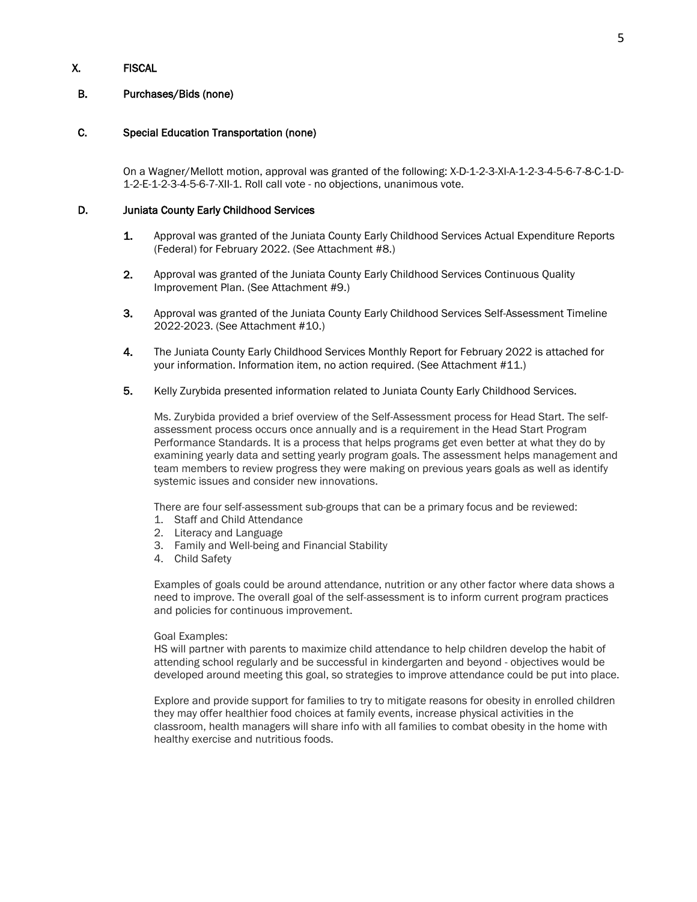# X. FISCAL

# B. Purchases/Bids (none)

# C. Special Education Transportation (none)

 On a Wagner/Mellott motion, approval was granted of the following: X-D-1-2-3-XI-A-1-2-3-4-5-6-7-8-C-1-D-1-2-E-1-2-3-4-5-6-7-XII-1. Roll call vote - no objections, unanimous vote.

# D. Juniata County Early Childhood Services

- 1. Approval was granted of the Juniata County Early Childhood Services Actual Expenditure Reports (Federal) for February 2022. (See Attachment #8.)
- 2. Approval was granted of the Juniata County Early Childhood Services Continuous Quality Improvement Plan. (See Attachment #9.)
- 3. Approval was granted of the Juniata County Early Childhood Services Self-Assessment Timeline 2022-2023. (See Attachment #10.)
- 4. The Juniata County Early Childhood Services Monthly Report for February 2022 is attached for your information. Information item, no action required. (See Attachment #11.)
- 5. Kelly Zurybida presented information related to Juniata County Early Childhood Services.

Ms. Zurybida provided a brief overview of the Self-Assessment process for Head Start. The selfassessment process occurs once annually and is a requirement in the Head Start Program Performance Standards. It is a process that helps programs get even better at what they do by examining yearly data and setting yearly program goals. The assessment helps management and team members to review progress they were making on previous years goals as well as identify systemic issues and consider new innovations.

There are four self-assessment sub-groups that can be a primary focus and be reviewed:

- 1. Staff and Child Attendance
- 2. Literacy and Language
- 3. Family and Well-being and Financial Stability
- 4. Child Safety

Examples of goals could be around attendance, nutrition or any other factor where data shows a need to improve. The overall goal of the self-assessment is to inform current program practices and policies for continuous improvement.

#### Goal Examples:

HS will partner with parents to maximize child attendance to help children develop the habit of attending school regularly and be successful in kindergarten and beyond - objectives would be developed around meeting this goal, so strategies to improve attendance could be put into place.

Explore and provide support for families to try to mitigate reasons for obesity in enrolled children they may offer healthier food choices at family events, increase physical activities in the classroom, health managers will share info with all families to combat obesity in the home with healthy exercise and nutritious foods.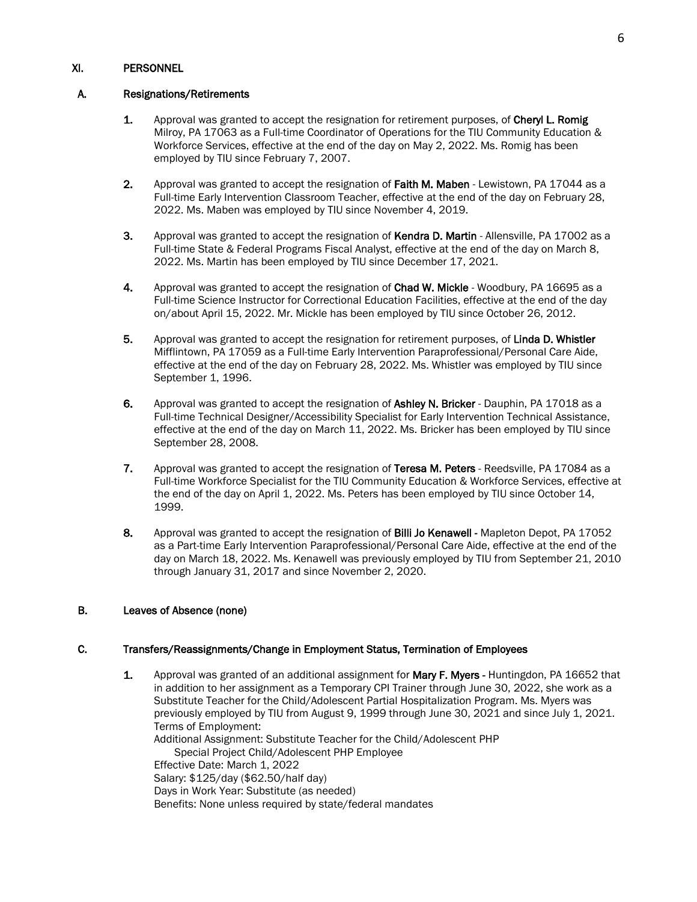# XI. PERSONNEL

# A. Resignations/Retirements

- 1. Approval was granted to accept the resignation for retirement purposes, of Cheryl L. Romig Milroy, PA 17063 as a Full-time Coordinator of Operations for the TIU Community Education & Workforce Services, effective at the end of the day on May 2, 2022. Ms. Romig has been employed by TIU since February 7, 2007.
- 2. Approval was granted to accept the resignation of Faith M. Maben Lewistown, PA 17044 as a Full-time Early Intervention Classroom Teacher, effective at the end of the day on February 28, 2022. Ms. Maben was employed by TIU since November 4, 2019.
- 3. Approval was granted to accept the resignation of Kendra D. Martin Allensville, PA 17002 as a Full-time State & Federal Programs Fiscal Analyst, effective at the end of the day on March 8, 2022. Ms. Martin has been employed by TIU since December 17, 2021.
- 4. Approval was granted to accept the resignation of Chad W. Mickle Woodbury, PA 16695 as a Full-time Science Instructor for Correctional Education Facilities, effective at the end of the day on/about April 15, 2022. Mr. Mickle has been employed by TIU since October 26, 2012.
- 5. Approval was granted to accept the resignation for retirement purposes, of Linda D. Whistler Mifflintown, PA 17059 as a Full-time Early Intervention Paraprofessional/Personal Care Aide, effective at the end of the day on February 28, 2022. Ms. Whistler was employed by TIU since September 1, 1996.
- 6. Approval was granted to accept the resignation of Ashley N. Bricker Dauphin, PA 17018 as a Full-time Technical Designer/Accessibility Specialist for Early Intervention Technical Assistance, effective at the end of the day on March 11, 2022. Ms. Bricker has been employed by TIU since September 28, 2008.
- 7. Approval was granted to accept the resignation of Teresa M. Peters Reedsville, PA 17084 as a Full-time Workforce Specialist for the TIU Community Education & Workforce Services, effective at the end of the day on April 1, 2022. Ms. Peters has been employed by TIU since October 14, 1999.
- 8. Approval was granted to accept the resignation of Billi Jo Kenawell Mapleton Depot, PA 17052 as a Part-time Early Intervention Paraprofessional/Personal Care Aide, effective at the end of the day on March 18, 2022. Ms. Kenawell was previously employed by TIU from September 21, 2010 through January 31, 2017 and since November 2, 2020.

# B. Leaves of Absence (none)

# C. Transfers/Reassignments/Change in Employment Status, Termination of Employees

1. Approval was granted of an additional assignment for Mary F. Myers - Huntingdon, PA 16652 that in addition to her assignment as a Temporary CPI Trainer through June 30, 2022, she work as a Substitute Teacher for the Child/Adolescent Partial Hospitalization Program. Ms. Myers was previously employed by TIU from August 9, 1999 through June 30, 2021 and since July 1, 2021. Terms of Employment: Additional Assignment: Substitute Teacher for the Child/Adolescent PHP Special Project Child/Adolescent PHP Employee Effective Date: March 1, 2022 Salary: \$125/day (\$62.50/half day) Days in Work Year: Substitute (as needed) Benefits: None unless required by state/federal mandates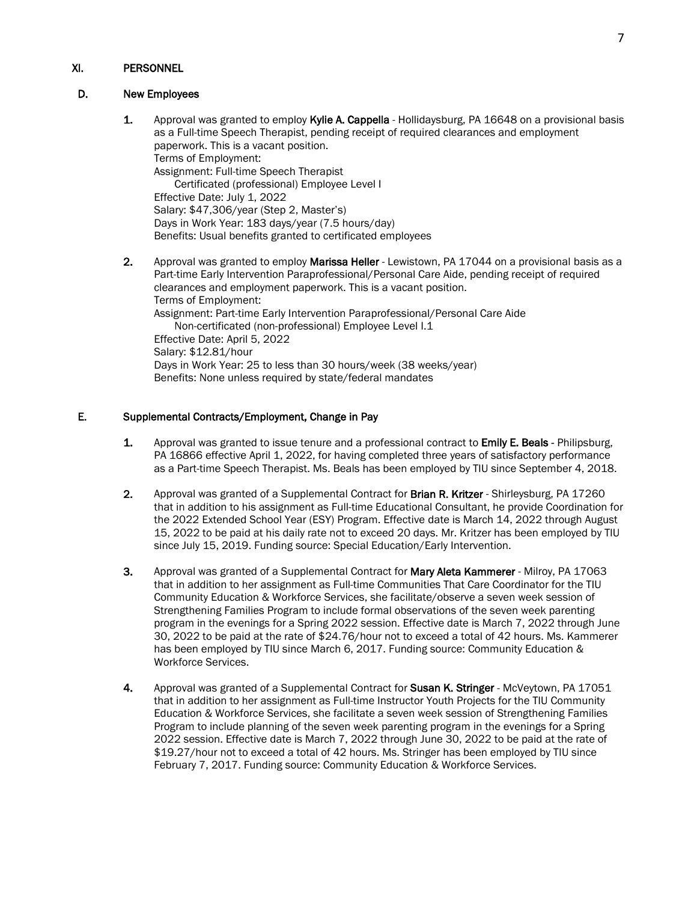# XI. PERSONNEL

# D. New Employees

1. Approval was granted to employ Kylie A. Cappella - Hollidaysburg, PA 16648 on a provisional basis as a Full-time Speech Therapist, pending receipt of required clearances and employment paperwork. This is a vacant position. Terms of Employment: Assignment: Full-time Speech Therapist Certificated (professional) Employee Level I Effective Date: July 1, 2022 Salary: \$47,306/year (Step 2, Master's) Days in Work Year: 183 days/year (7.5 hours/day) Benefits: Usual benefits granted to certificated employees 2. Approval was granted to employ Marissa Heller - Lewistown, PA 17044 on a provisional basis as a Part-time Early Intervention Paraprofessional/Personal Care Aide, pending receipt of required

clearances and employment paperwork. This is a vacant position. Terms of Employment: Assignment: Part-time Early Intervention Paraprofessional/Personal Care Aide Non-certificated (non-professional) Employee Level I.1 Effective Date: April 5, 2022 Salary: \$12.81/hour Days in Work Year: 25 to less than 30 hours/week (38 weeks/year) Benefits: None unless required by state/federal mandates

# E. Supplemental Contracts/Employment, Change in Pay

- 1. Approval was granted to issue tenure and a professional contract to **Emily E. Beals** Philipsburg, PA 16866 effective April 1, 2022, for having completed three years of satisfactory performance as a Part-time Speech Therapist. Ms. Beals has been employed by TIU since September 4, 2018.
- 2. Approval was granted of a Supplemental Contract for Brian R. Kritzer Shirleysburg, PA 17260 that in addition to his assignment as Full-time Educational Consultant, he provide Coordination for the 2022 Extended School Year (ESY) Program. Effective date is March 14, 2022 through August 15, 2022 to be paid at his daily rate not to exceed 20 days. Mr. Kritzer has been employed by TIU since July 15, 2019. Funding source: Special Education/Early Intervention.
- 3. Approval was granted of a Supplemental Contract for Mary Aleta Kammerer Milroy, PA 17063 that in addition to her assignment as Full-time Communities That Care Coordinator for the TIU Community Education & Workforce Services, she facilitate/observe a seven week session of Strengthening Families Program to include formal observations of the seven week parenting program in the evenings for a Spring 2022 session. Effective date is March 7, 2022 through June 30, 2022 to be paid at the rate of \$24.76/hour not to exceed a total of 42 hours. Ms. Kammerer has been employed by TIU since March 6, 2017. Funding source: Community Education & Workforce Services.
- 4. Approval was granted of a Supplemental Contract for Susan K. Stringer McVeytown, PA 17051 that in addition to her assignment as Full-time Instructor Youth Projects for the TIU Community Education & Workforce Services, she facilitate a seven week session of Strengthening Families Program to include planning of the seven week parenting program in the evenings for a Spring 2022 session. Effective date is March 7, 2022 through June 30, 2022 to be paid at the rate of \$19.27/hour not to exceed a total of 42 hours. Ms. Stringer has been employed by TIU since February 7, 2017. Funding source: Community Education & Workforce Services.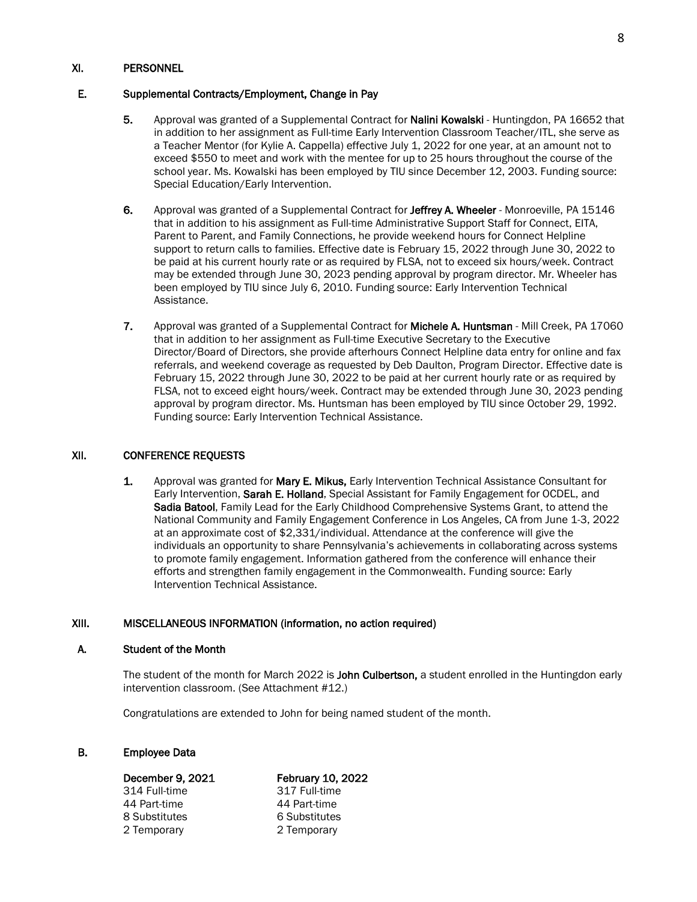### XI. PERSONNEL

# E. Supplemental Contracts/Employment, Change in Pay

- 5. Approval was granted of a Supplemental Contract for Nalini Kowalski Huntingdon, PA 16652 that in addition to her assignment as Full-time Early Intervention Classroom Teacher/ITL, she serve as a Teacher Mentor (for Kylie A. Cappella) effective July 1, 2022 for one year, at an amount not to exceed \$550 to meet and work with the mentee for up to 25 hours throughout the course of the school year. Ms. Kowalski has been employed by TIU since December 12, 2003. Funding source: Special Education/Early Intervention.
- 6. Approval was granted of a Supplemental Contract for Jeffrey A. Wheeler Monroeville, PA 15146 that in addition to his assignment as Full-time Administrative Support Staff for Connect, EITA, Parent to Parent, and Family Connections, he provide weekend hours for Connect Helpline support to return calls to families. Effective date is February 15, 2022 through June 30, 2022 to be paid at his current hourly rate or as required by FLSA, not to exceed six hours/week. Contract may be extended through June 30, 2023 pending approval by program director. Mr. Wheeler has been employed by TIU since July 6, 2010. Funding source: Early Intervention Technical Assistance.
- 7. Approval was granted of a Supplemental Contract for Michele A. Huntsman Mill Creek, PA 17060 that in addition to her assignment as Full-time Executive Secretary to the Executive Director/Board of Directors, she provide afterhours Connect Helpline data entry for online and fax referrals, and weekend coverage as requested by Deb Daulton, Program Director. Effective date is February 15, 2022 through June 30, 2022 to be paid at her current hourly rate or as required by FLSA, not to exceed eight hours/week. Contract may be extended through June 30, 2023 pending approval by program director. Ms. Huntsman has been employed by TIU since October 29, 1992. Funding source: Early Intervention Technical Assistance.

#### XII. CONFERENCE REQUESTS

1. Approval was granted for Mary E. Mikus, Early Intervention Technical Assistance Consultant for Early Intervention, Sarah E. Holland, Special Assistant for Family Engagement for OCDEL, and Sadia Batool, Family Lead for the Early Childhood Comprehensive Systems Grant, to attend the National Community and Family Engagement Conference in Los Angeles, CA from June 1-3, 2022 at an approximate cost of \$2,331/individual. Attendance at the conference will give the individuals an opportunity to share Pennsylvania's achievements in collaborating across systems to promote family engagement. Information gathered from the conference will enhance their efforts and strengthen family engagement in the Commonwealth. Funding source: Early Intervention Technical Assistance.

#### XIII. MISCELLANEOUS INFORMATION (information, no action required)

#### A. Student of the Month

The student of the month for March 2022 is John Culbertson, a student enrolled in the Huntingdon early intervention classroom. (See Attachment #12.)

Congratulations are extended to John for being named student of the month.

# B. Employee Data

44 Part-time 44 Part-time 8 Substitutes 6 Substitutes 2 Temporary 2 Temporary

# December 9, 2021 February 10, 2022 314 Full-time 317 Full-time